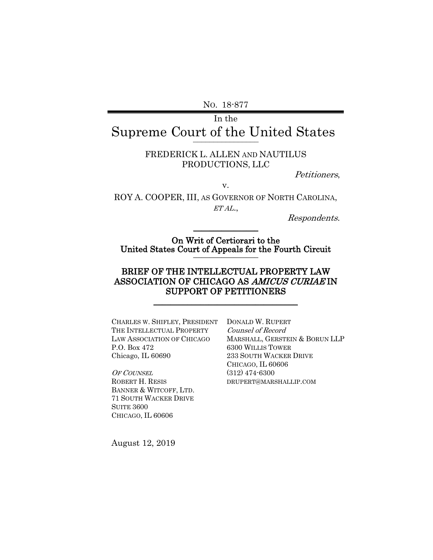NO. 18-877

# In the Supreme Court of the United States

### FREDERICK L. ALLEN AND NAUTILUS PRODUCTIONS, LLC

Petitioners,

v.

ROY A. COOPER, III, AS GOVERNOR OF NORTH CAROLINA, ET AL.,

Respondents.

On Writ of Certiorari to the United States Court of Appeals for the Fourth Circuit

 $\mathcal{L}$  , we have the set of  $\mathcal{L}$ 

## BRIEF OF THE INTELLECTUAL PROPERTY LAW ASSOCIATION OF CHICAGO AS AMICUS CURIAE IN SUPPORT OF PETITIONERS

\_\_\_\_\_\_\_\_\_\_\_\_\_\_\_\_\_\_\_\_\_\_\_\_\_\_\_\_\_\_\_\_\_\_

CHARLES W. SHIFLEY, PRESIDENT DONALD W. RUPERT THE INTELLECTUAL PROPERTY LAW ASSOCIATION OF CHICAGO P.O. Box 472 Chicago, IL 60690

OF COUNSEL ROBERT H. RESIS BANNER & WITCOFF, LTD. 71 SOUTH WACKER DRIVE SUITE 3600 CHICAGO, IL 60606

Counsel of Record MARSHALL, GERSTEIN & BORUN LLP 6300 WILLIS TOWER 233 SOUTH WACKER DRIVE CHICAGO, IL 60606 (312) 474-6300 DRUPERT@MARSHALLIP.COM

August 12, 2019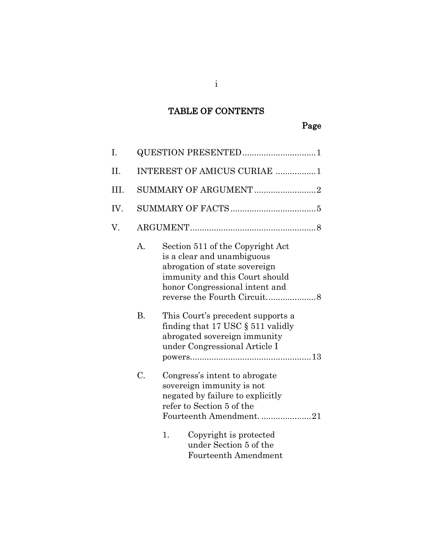# TABLE OF CONTENTS

| I.   | QUESTION PRESENTED1         |                                                                                                                                                                     |  |
|------|-----------------------------|---------------------------------------------------------------------------------------------------------------------------------------------------------------------|--|
| H.   | INTEREST OF AMICUS CURIAE 1 |                                                                                                                                                                     |  |
| III. | SUMMARY OF ARGUMENT2        |                                                                                                                                                                     |  |
| IV.  |                             |                                                                                                                                                                     |  |
| V.   |                             |                                                                                                                                                                     |  |
|      | A.                          | Section 511 of the Copyright Act<br>is a clear and unambiguous<br>abrogation of state sovereign<br>immunity and this Court should<br>honor Congressional intent and |  |
|      | <b>B.</b>                   | This Court's precedent supports a<br>finding that 17 USC $\S$ 511 validly<br>abrogated sovereign immunity<br>under Congressional Article I                          |  |
|      | C.                          | Congress's intent to abrogate<br>sovereign immunity is not<br>negated by failure to explicitly<br>refer to Section 5 of the<br>Fourteenth Amendment. 21             |  |
|      |                             | 1.<br>Copyright is protected<br>under Section 5 of the<br>Fourteenth Amendment                                                                                      |  |

i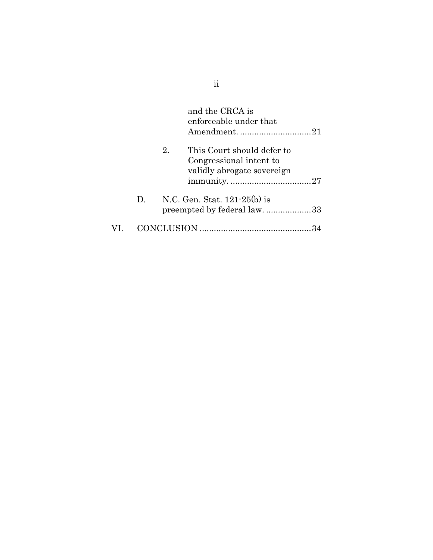|     |    |    | and the CRCA is<br>enforceable under that<br>Amendment21                            |  |
|-----|----|----|-------------------------------------------------------------------------------------|--|
|     |    | 2. | This Court should defer to<br>Congressional intent to<br>validly abrogate sovereign |  |
|     | D. |    | N.C. Gen. Stat. $121-25(b)$ is<br>preempted by federal law. 33                      |  |
| VI. |    |    |                                                                                     |  |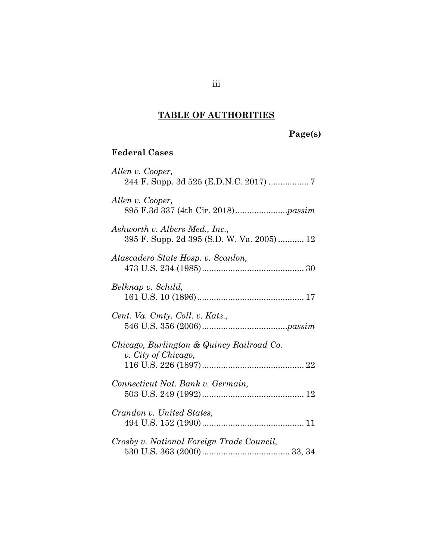# **TABLE OF AUTHORITIES**

# **Page(s)**

# **Federal Cases**

| Allen v. Cooper,                                                            |
|-----------------------------------------------------------------------------|
| Allen v. Cooper,                                                            |
| Ashworth v. Albers Med., Inc.,<br>395 F. Supp. 2d 395 (S.D. W. Va. 2005) 12 |
| Atascadero State Hosp. v. Scanlon,                                          |
| Belknap v. Schild,                                                          |
| Cent. Va. Cmty. Coll. v. Katz.,                                             |
| Chicago, Burlington & Quincy Railroad Co.<br>v. City of Chicago,            |
| Connecticut Nat. Bank v. Germain,                                           |
| Crandon v. United States,                                                   |
| Crosby v. National Foreign Trade Council,                                   |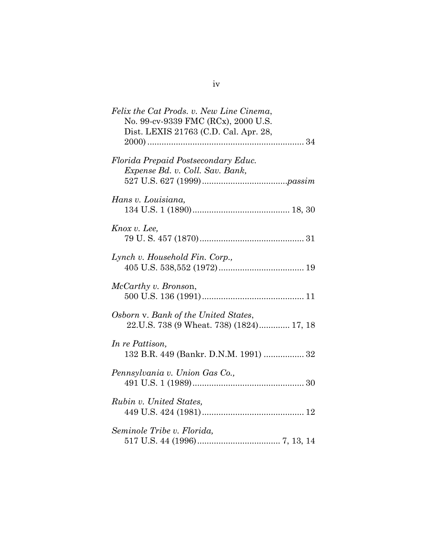| Felix the Cat Prods. v. New Line Cinema,<br>No. 99-cv-9339 FMC (RCx), 2000 U.S.<br>Dist. LEXIS 21763 (C.D. Cal. Apr. 28, |
|--------------------------------------------------------------------------------------------------------------------------|
| Florida Prepaid Postsecondary Educ.<br>Expense Bd. v. Coll. Sav. Bank,                                                   |
| Hans v. Louisiana,                                                                                                       |
| Knox v. Lee,                                                                                                             |
| Lynch v. Household Fin. Corp.,                                                                                           |
| McCarthy v. Bronson,                                                                                                     |
| Osborn v. Bank of the United States,<br>22.U.S. 738 (9 Wheat. 738) (1824) 17, 18                                         |
| In re Pattison,<br>132 B.R. 449 (Bankr. D.N.M. 1991)  32                                                                 |
| Pennsylvania v. Union Gas Co.,                                                                                           |
| Rubin v. United States,                                                                                                  |
| Seminole Tribe v. Florida,                                                                                               |

| ×<br>٠ |  |
|--------|--|
| w      |  |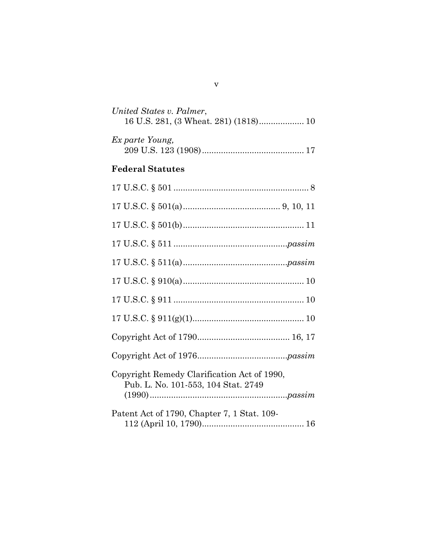| United States v. Palmer,<br>16 U.S. 281, (3 Wheat. 281) (1818) 10                  |
|------------------------------------------------------------------------------------|
| Ex parte Young,                                                                    |
| <b>Federal Statutes</b>                                                            |
|                                                                                    |
|                                                                                    |
|                                                                                    |
|                                                                                    |
|                                                                                    |
|                                                                                    |
|                                                                                    |
|                                                                                    |
|                                                                                    |
|                                                                                    |
| Copyright Remedy Clarification Act of 1990,<br>Pub. L. No. 101-553, 104 Stat. 2749 |
| Patent Act of 1790, Chapter 7, 1 Stat. 109-                                        |

v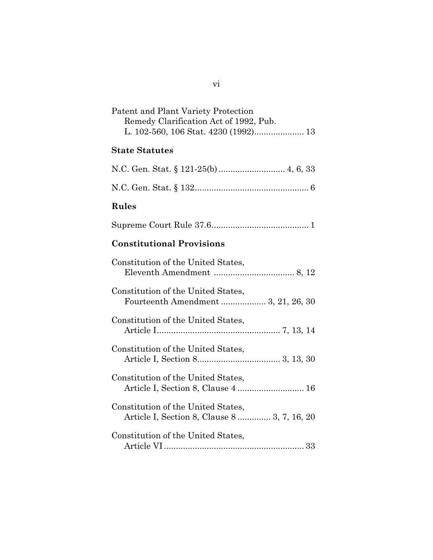| Patent and Plant Variety Protection<br>Remedy Clarification Act of 1992, Pub.<br>L. 102-560, 106 Stat. 4230 (1992) 13 |
|-----------------------------------------------------------------------------------------------------------------------|
| <b>State Statutes</b>                                                                                                 |
|                                                                                                                       |
|                                                                                                                       |
| Rules                                                                                                                 |
|                                                                                                                       |
| <b>Constitutional Provisions</b>                                                                                      |
| Constitution of the United States,                                                                                    |
| Constitution of the United States,<br>Fourteenth Amendment  3, 21, 26, 30                                             |
| Constitution of the United States,                                                                                    |
| Constitution of the United States,                                                                                    |
| Constitution of the United States,<br>Article I, Section 8, Clause 4  16                                              |
| Constitution of the United States,<br>Article I, Section 8, Clause 8  3, 7, 16, 20                                    |
| Constitution of the United States,                                                                                    |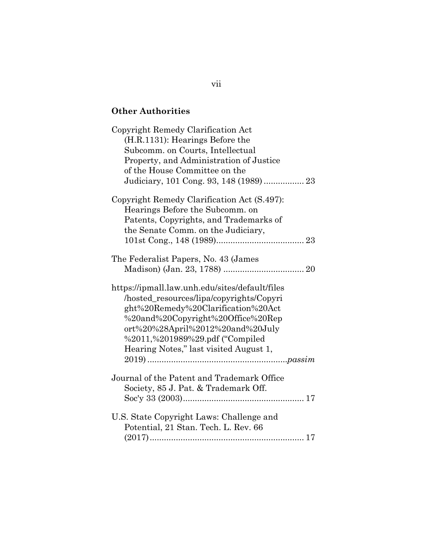# **Other Authorities**

| Copyright Remedy Clarification Act<br>(H.R.1131): Hearings Before the<br>Subcomm. on Courts, Intellectual<br>Property, and Administration of Justice<br>of the House Committee on the                                                                                                   |
|-----------------------------------------------------------------------------------------------------------------------------------------------------------------------------------------------------------------------------------------------------------------------------------------|
| Copyright Remedy Clarification Act (S.497):<br>Hearings Before the Subcomm. on<br>Patents, Copyrights, and Trademarks of<br>the Senate Comm. on the Judiciary,                                                                                                                          |
| The Federalist Papers, No. 43 (James                                                                                                                                                                                                                                                    |
| https://ipmall.law.unh.edu/sites/default/files<br>/hosted_resources/lipa/copyrights/Copyri<br>ght%20Remedy%20Clarification%20Act<br>%20and%20Copyright%20Office%20Rep<br>ort%20%28April%2012%20and%20July<br>%2011,%201989%29.pdf ("Compiled"<br>Hearing Notes," last visited August 1, |
| Journal of the Patent and Trademark Office<br>Society, 85 J. Pat. & Trademark Off.                                                                                                                                                                                                      |
| U.S. State Copyright Laws: Challenge and<br>Potential, 21 Stan. Tech. L. Rev. 66                                                                                                                                                                                                        |

vii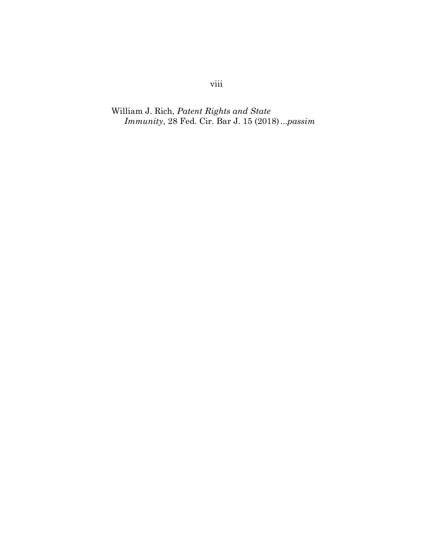William J. Rich, *Patent Rights and State Immunity*, 28 Fed. Cir. Bar J. 15 (2018)...*passim*

# viii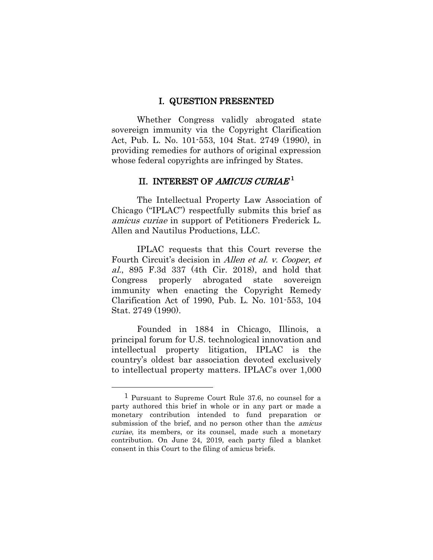#### I. QUESTION PRESENTED

Whether Congress validly abrogated state sovereign immunity via the Copyright Clarification Act, Pub. L. No. 101-553, 104 Stat. 2749 (1990), in providing remedies for authors of original expression whose federal copyrights are infringed by States.

# II. INTEREST OF  $AMICUS$   $CURLA E\rm ^1$

The Intellectual Property Law Association of Chicago ("IPLAC") respectfully submits this brief as amicus curiae in support of Petitioners Frederick L. Allen and Nautilus Productions, LLC.

IPLAC requests that this Court reverse the Fourth Circuit's decision in Allen et al. v. Cooper, et al., 895 F.3d 337 (4th Cir. 2018), and hold that Congress properly abrogated state sovereign immunity when enacting the Copyright Remedy Clarification Act of 1990, Pub. L. No. 101-553, 104 Stat. 2749 (1990).

Founded in 1884 in Chicago, Illinois, a principal forum for U.S. technological innovation and intellectual property litigation, IPLAC is the country's oldest bar association devoted exclusively to intellectual property matters. IPLAC's over 1,000

<span id="page-9-0"></span><sup>1</sup> Pursuant to Supreme Court Rule 37.6, no counsel for a party authored this brief in whole or in any part or made a monetary contribution intended to fund preparation or submission of the brief, and no person other than the *amicus* curiae, its members, or its counsel, made such a monetary contribution. On June 24, 2019, each party filed a blanket consent in this Court to the filing of amicus briefs.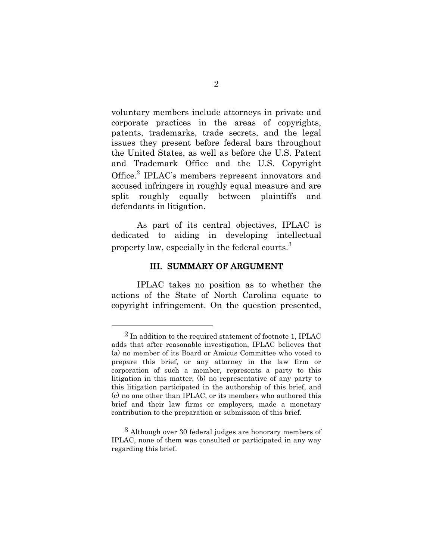voluntary members include attorneys in private and corporate practices in the areas of copyrights, patents, trademarks, trade secrets, and the legal issues they present before federal bars throughout the United States, as well as before the U.S. Patent and Trademark Office and the U.S. Copyright Office.<sup>2</sup> IPLAC's members represent innovators and accused infringers in roughly equal measure and are split roughly equally between plaintiffs and defendants in litigation.

As part of its central objectives, IPLAC is dedicated to aiding in developing intellectual property law, especially in the federal courts.<sup>3</sup>

#### III. SUMMARY OF ARGUMENT

IPLAC takes no position as to whether the actions of the State of North Carolina equate to copyright infringement. On the question presented,

 $2$  In addition to the required statement of footnote 1, IPLAC adds that after reasonable investigation, IPLAC believes that (a) no member of its Board or Amicus Committee who voted to prepare this brief, or any attorney in the law firm or corporation of such a member, represents a party to this litigation in this matter, (b) no representative of any party to this litigation participated in the authorship of this brief, and (c) no one other than IPLAC, or its members who authored this brief and their law firms or employers, made a monetary contribution to the preparation or submission of this brief.

<sup>3</sup> Although over 30 federal judges are honorary members of IPLAC, none of them was consulted or participated in any way regarding this brief.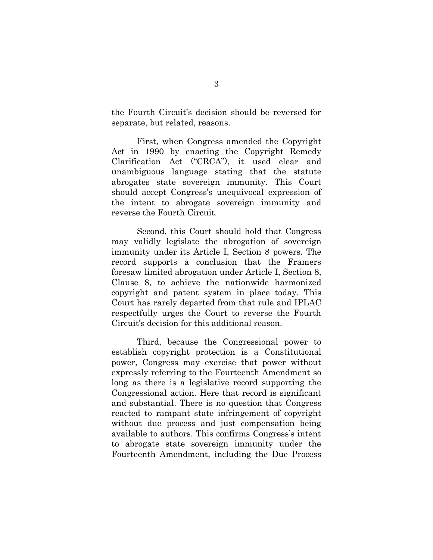the Fourth Circuit's decision should be reversed for separate, but related, reasons.

First, when Congress amended the Copyright Act in 1990 by enacting the Copyright Remedy Clarification Act ("CRCA"), it used clear and unambiguous language stating that the statute abrogates state sovereign immunity. This Court should accept Congress's unequivocal expression of the intent to abrogate sovereign immunity and reverse the Fourth Circuit.

<span id="page-11-2"></span><span id="page-11-1"></span>Second, this Court should hold that Congress may validly legislate the abrogation of sovereign immunity under its Article I, Section 8 powers. The record supports a conclusion that the Framers foresaw limited abrogation under Article I, Section 8, Clause 8, to achieve the nationwide harmonized copyright and patent system in place today. This Court has rarely departed from that rule and IPLAC respectfully urges the Court to reverse the Fourth Circuit's decision for this additional reason.

<span id="page-11-0"></span>Third, because the Congressional power to establish copyright protection is a Constitutional power, Congress may exercise that power without expressly referring to the Fourteenth Amendment so long as there is a legislative record supporting the Congressional action. Here that record is significant and substantial. There is no question that Congress reacted to rampant state infringement of copyright without due process and just compensation being available to authors. This confirms Congress's intent to abrogate state sovereign immunity under the Fourteenth Amendment, including the Due Process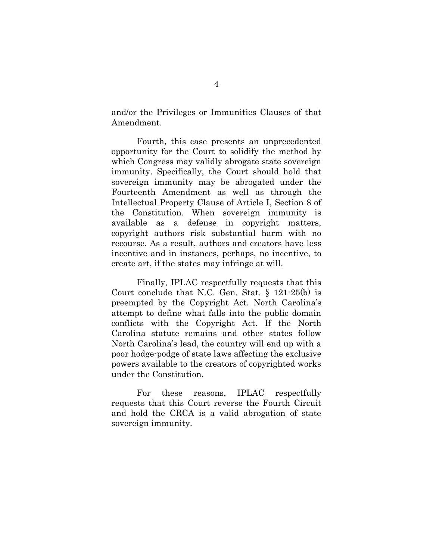and/or the Privileges or Immunities Clauses of that Amendment.

Fourth, this case presents an unprecedented opportunity for the Court to solidify the method by which Congress may validly abrogate state sovereign immunity. Specifically, the Court should hold that sovereign immunity may be abrogated under the Fourteenth Amendment as well as through the Intellectual Property Clause of Article I, Section 8 of the Constitution. When sovereign immunity is available as a defense in copyright matters, copyright authors risk substantial harm with no recourse. As a result, authors and creators have less incentive and in instances, perhaps, no incentive, to create art, if the states may infringe at will.

<span id="page-12-0"></span>Finally, IPLAC respectfully requests that this Court conclude that N.C. Gen. Stat. § 121-25(b) is preempted by the Copyright Act. North Carolina's attempt to define what falls into the public domain conflicts with the Copyright Act. If the North Carolina statute remains and other states follow North Carolina's lead, the country will end up with a poor hodge-podge of state laws affecting the exclusive powers available to the creators of copyrighted works under the Constitution.

For these reasons, IPLAC respectfully requests that this Court reverse the Fourth Circuit and hold the CRCA is a valid abrogation of state sovereign immunity.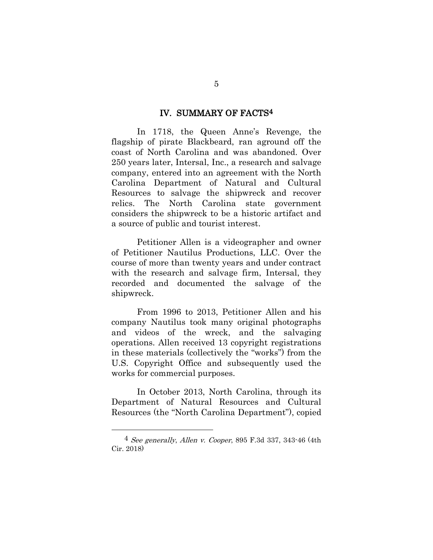#### IV. SUMMARY OF FACTS4

In 1718, the Queen Anne's Revenge, the flagship of pirate Blackbeard, ran aground off the coast of North Carolina and was abandoned. Over 250 years later, Intersal, Inc., a research and salvage company, entered into an agreement with the North Carolina Department of Natural and Cultural Resources to salvage the shipwreck and recover relics. The North Carolina state government considers the shipwreck to be a historic artifact and a source of public and tourist interest.

Petitioner Allen is a videographer and owner of Petitioner Nautilus Productions, LLC. Over the course of more than twenty years and under contract with the research and salvage firm, Intersal, they recorded and documented the salvage of the shipwreck.

From 1996 to 2013, Petitioner Allen and his company Nautilus took many original photographs and videos of the wreck, and the salvaging operations. Allen received 13 copyright registrations in these materials (collectively the "works") from the U.S. Copyright Office and subsequently used the works for commercial purposes.

In October 2013, North Carolina, through its Department of Natural Resources and Cultural Resources (the "North Carolina Department"), copied

<sup>4</sup> See generally, Allen v. Cooper, 895 F.3d 337, 343-46 (4th Cir. 2018)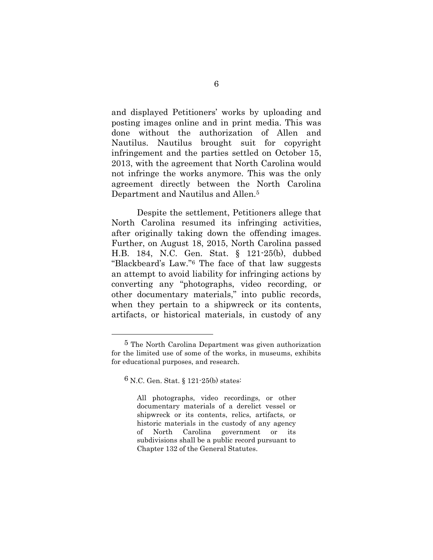and displayed Petitioners' works by uploading and posting images online and in print media. This was done without the authorization of Allen and Nautilus. Nautilus brought suit for copyright infringement and the parties settled on October 15, 2013, with the agreement that North Carolina would not infringe the works anymore. This was the only agreement directly between the North Carolina Department and Nautilus and Allen.<sup>5</sup>

<span id="page-14-0"></span>Despite the settlement, Petitioners allege that North Carolina resumed its infringing activities, after originally taking down the offending images. Further, on August 18, 2015, North Carolina passed H.B. 184, N.C. Gen. Stat. § 121-25(b), dubbed "Blackbeard's Law."<sup>6</sup> The face of that law suggests an attempt to avoid liability for infringing actions by converting any "photographs, video recording, or other documentary materials," into public records, when they pertain to a shipwreck or its contents, artifacts, or historical materials, in custody of any

<sup>5</sup> The North Carolina Department was given authorization for the limited use of some of the works, in museums, exhibits for educational purposes, and research.

<sup>6</sup> N.C. Gen. Stat. § 121-25(b) states:

<span id="page-14-1"></span>All photographs, video recordings, or other documentary materials of a derelict vessel or shipwreck or its contents, relics, artifacts, or historic materials in the custody of any agency of North Carolina government or its subdivisions shall be a public record pursuant to Chapter 132 of the General Statutes.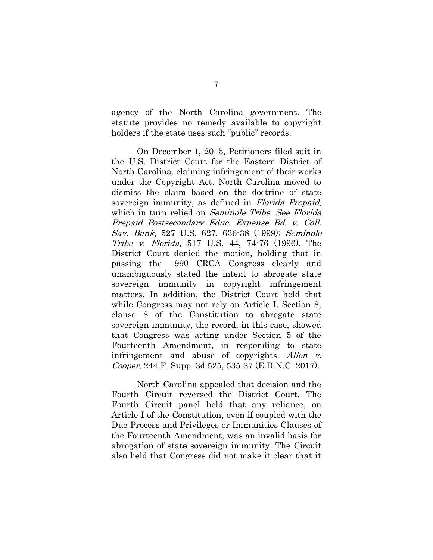agency of the North Carolina government. The statute provides no remedy available to copyright holders if the state uses such "public" records.

On December 1, 2015, Petitioners filed suit in the U.S. District Court for the Eastern District of North Carolina, claiming infringement of their works under the Copyright Act. North Carolina moved to dismiss the claim based on the doctrine of state sovereign immunity, as defined in *Florida Prepaid*, which in turn relied on Seminole Tribe. See Florida Prepaid Postsecondary Educ. Expense Bd. v. Coll. Sav. Bank, 527 U.S. 627, 636-38 (1999); Seminole Tribe v. Florida, 517 U.S. 44, 74-76 (1996). The District Court denied the motion, holding that in passing the 1990 CRCA Congress clearly and unambiguously stated the intent to abrogate state sovereign immunity in copyright infringement matters. In addition, the District Court held that while Congress may not rely on Article I, Section 8, clause 8 of the Constitution to abrogate state sovereign immunity, the record, in this case, showed that Congress was acting under Section 5 of the Fourteenth Amendment, in responding to state infringement and abuse of copyrights. Allen v. Cooper, 244 F. Supp. 3d 525, 535-37 (E.D.N.C. 2017).

<span id="page-15-1"></span><span id="page-15-0"></span>North Carolina appealed that decision and the Fourth Circuit reversed the District Court. The Fourth Circuit panel held that any reliance, on Article I of the Constitution, even if coupled with the Due Process and Privileges or Immunities Clauses of the Fourteenth Amendment, was an invalid basis for abrogation of state sovereign immunity. The Circuit also held that Congress did not make it clear that it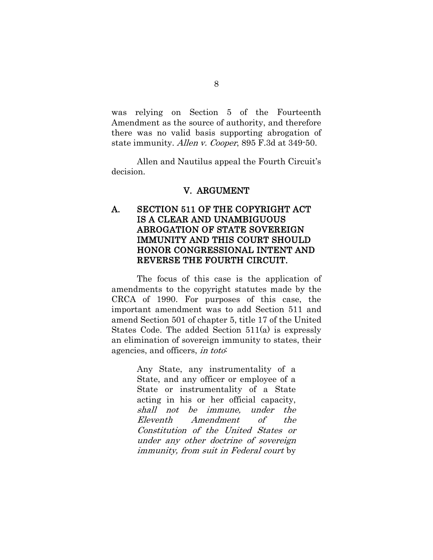was relying on Section 5 of the Fourteenth Amendment as the source of authority, and therefore there was no valid basis supporting abrogation of state immunity. Allen v. Cooper, 895 F.3d at 349-50.

Allen and Nautilus appeal the Fourth Circuit's decision.

#### V. ARGUMENT

## A. SECTION 511 OF THE COPYRIGHT ACT IS A CLEAR AND UNAMBIGUOUS ABROGATION OF STATE SOVEREIGN IMMUNITY AND THIS COURT SHOULD HONOR CONGRESSIONAL INTENT AND REVERSE THE FOURTH CIRCUIT.

The focus of this case is the application of amendments to the copyright statutes made by the CRCA of 1990. For purposes of this case, the important amendment was to add Section 511 and amend Section 501 of chapter 5, title 17 of the United States Code. The added Section 511(a) is expressly an elimination of sovereign immunity to states, their agencies, and officers, in toto:

> <span id="page-16-0"></span>Any State, any instrumentality of a State, and any officer or employee of a State or instrumentality of a State acting in his or her official capacity, shall not be immune, under the Eleventh Amendment of the Constitution of the United States or under any other doctrine of sovereign immunity, from suit in Federal court by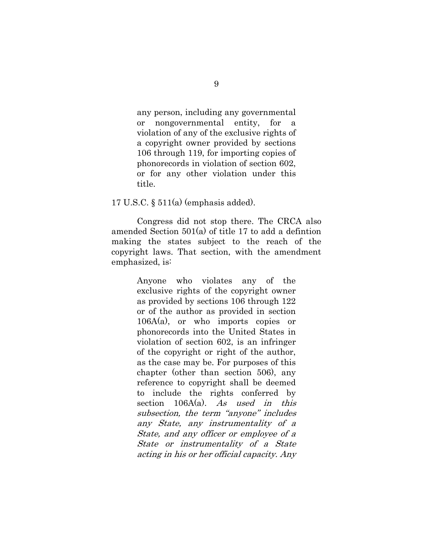any person, including any governmental or nongovernmental entity, for a violation of any of the exclusive rights of a copyright owner provided by sections 106 through 119, for importing copies of phonorecords in violation of section 602, or for any other violation under this title.

17 U.S.C. § 511(a) (emphasis added).

Congress did not stop there. The CRCA also amended Section 501(a) of title 17 to add a defintion making the states subject to the reach of the copyright laws. That section, with the amendment emphasized, is:

> Anyone who violates any of the exclusive rights of the copyright owner as provided by sections 106 through 122 or of the author as provided in section 106A(a), or who imports copies or phonorecords into the United States in violation of section 602, is an infringer of the copyright or right of the author, as the case may be. For purposes of this chapter (other than section 506), any reference to copyright shall be deemed to include the rights conferred by section  $106A(a)$ . As used in this subsection, the term "anyone" includes any State, any instrumentality of a State, and any officer or employee of a State or instrumentality of a State acting in his or her official capacity. Any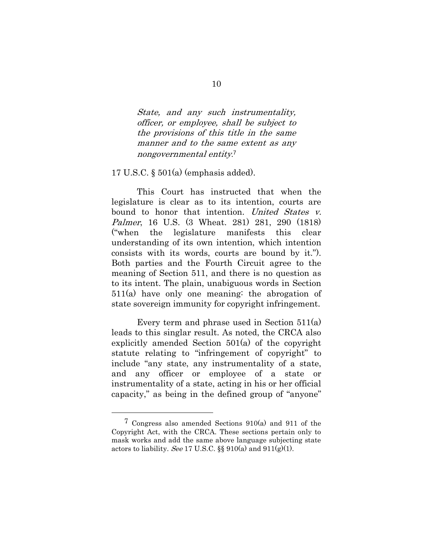State, and any such instrumentality, officer, or employee, shall be subject to the provisions of this title in the same manner and to the same extent as any nongovernmental entity. 7

17 U.S.C. § 501(a) (emphasis added).

This Court has instructed that when the legislature is clear as to its intention, courts are bound to honor that intention. United States v. Palmer, 16 U.S. (3 Wheat. 281) 281, 290 (1818) ("when the legislature manifests this clear understanding of its own intention, which intention consists with its words, courts are bound by it."). Both parties and the Fourth Circuit agree to the meaning of Section 511, and there is no question as to its intent. The plain, unabiguous words in Section 511(a) have only one meaning: the abrogation of state sovereign immunity for copyright infringement.

Every term and phrase used in Section 511(a) leads to this singlar result. As noted, the CRCA also explicitly amended Section 501(a) of the copyright statute relating to "infringement of copyright" to include "any state, any instrumentality of a state, and any officer or employee of a state or instrumentality of a state, acting in his or her official capacity," as being in the defined group of "anyone"

<sup>7</sup> Congress also amended Sections 910(a) and 911 of the Copyright Act, with the CRCA. These sections pertain only to mask works and add the same above language subjecting state actors to liability. See 17 U.S.C.  $\S$  910(a) and 911(g)(1).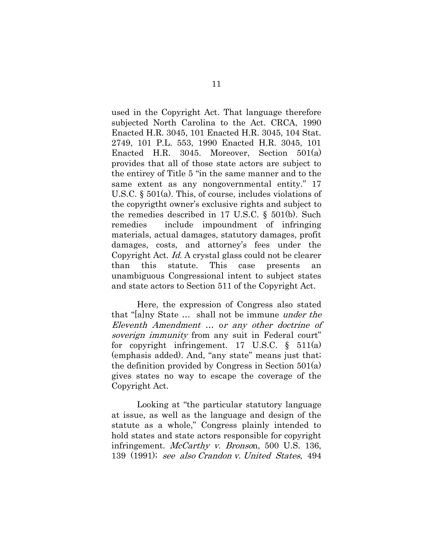used in the Copyright Act. That language therefore subjected North Carolina to the Act. CRCA, 1990 Enacted H.R. 3045, 101 Enacted H.R. 3045, 104 Stat. 2749, 101 P.L. 553, 1990 Enacted H.R. 3045, 101 Enacted H.R. 3045. Moreover, Section 501(a) provides that all of those state actors are subject to the entirey of Title 5 "in the same manner and to the same extent as any nongovernmental entity." 17 U.S.C. § 501(a). This, of course, includes violations of the copyrigtht owner's exclusive rights and subject to the remedies described in 17 U.S.C. § 501(b). Such remedies include impoundment of infringing materials, actual damages, statutory damages, profit damages, costs, and attorney's fees under the Copyright Act. Id. A crystal glass could not be clearer than this statute. This case presents an unambiguous Congressional intent to subject states and state actors to Section 511 of the Copyright Act.

Here, the expression of Congress also stated that "[a]ny State … shall not be immune under the Eleventh Amendment … or any other doctrine of soverign immunity from any suit in Federal court" for copyright infringement. 17 U.S.C. § 511(a) (emphasis added). And, "any state" means just that; the definition provided by Congress in Section 501(a) gives states no way to escape the coverage of the Copyright Act.

Looking at "the particular statutory language at issue, as well as the language and design of the statute as a whole," Congress plainly intended to hold states and state actors responsible for copyright infringement. *McCarthy v. Bronso*n, 500 U.S. 136, 139 (1991); see also Crandon v. United States, 494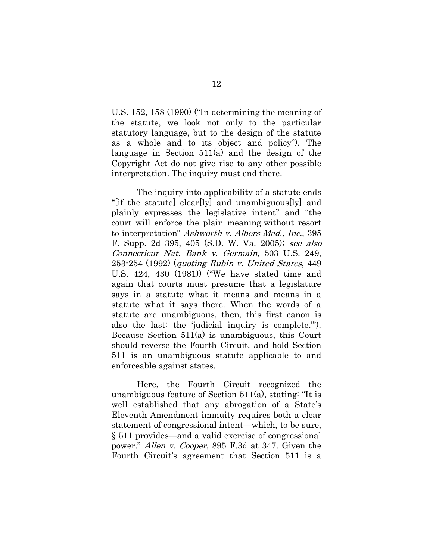U.S. 152, 158 (1990) ("In determining the meaning of the statute, we look not only to the particular statutory language, but to the design of the statute as a whole and to its object and policy"). The language in Section 511(a) and the design of the Copyright Act do not give rise to any other possible interpretation. The inquiry must end there.

The inquiry into applicability of a statute ends "[if the statute] clear[ly] and unambiguous[ly] and plainly expresses the legislative intent" and "the court will enforce the plain meaning without resort to interpretation" Ashworth v. Albers Med., Inc., 395 F. Supp. 2d 395, 405 (S.D. W. Va. 2005); see also Connecticut Nat. Bank v. Germain, 503 U.S. 249, 253-254 (1992) (quoting Rubin v. United States, 449 U.S. 424, 430 (1981)) ("We have stated time and again that courts must presume that a legislature says in a statute what it means and means in a statute what it says there. When the words of a statute are unambiguous, then, this first canon is also the last: the 'judicial inquiry is complete.'"). Because Section 511(a) is unambiguous, this Court should reverse the Fourth Circuit, and hold Section 511 is an unambiguous statute applicable to and enforceable against states.

<span id="page-20-0"></span>Here, the Fourth Circuit recognized the unambiguous feature of Section 511(a), stating: "It is well established that any abrogation of a State's Eleventh Amendment immuity requires both a clear statement of congressional intent—which, to be sure, § 511 provides—and a valid exercise of congressional power." Allen v. Cooper, 895 F.3d at 347. Given the Fourth Circuit's agreement that Section 511 is a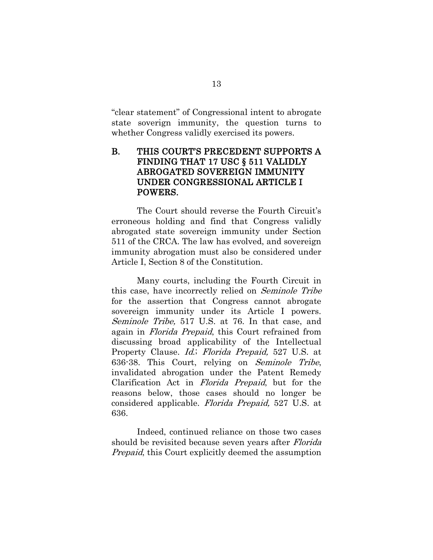"clear statement" of Congressional intent to abrogate state soverign immunity, the question turns to whether Congress validly exercised its powers.

## B. THIS COURT'S PRECEDENT SUPPORTS A FINDING THAT 17 USC § 511 VALIDLY ABROGATED SOVEREIGN IMMUNITY UNDER CONGRESSIONAL ARTICLE I POWERS.

The Court should reverse the Fourth Circuit's erroneous holding and find that Congress validly abrogated state sovereign immunity under Section 511 of the CRCA. The law has evolved, and sovereign immunity abrogation must also be considered under Article I, Section 8 of the Constitution.

<span id="page-21-2"></span><span id="page-21-1"></span>Many courts, including the Fourth Circuit in this case, have incorrectly relied on Seminole Tribe for the assertion that Congress cannot abrogate sovereign immunity under its Article I powers. Seminole Tribe, 517 U.S. at 76. In that case, and again in Florida Prepaid, this Court refrained from discussing broad applicability of the Intellectual Property Clause. Id.; Florida Prepaid, 527 U.S. at 636-38. This Court, relying on Seminole Tribe, invalidated abrogation under the Patent Remedy Clarification Act in Florida Prepaid, but for the reasons below, those cases should no longer be considered applicable. Florida Prepaid, 527 U.S. at 636.

<span id="page-21-0"></span>Indeed, continued reliance on those two cases should be revisited because seven years after Florida *Prepaid*, this Court explicitly deemed the assumption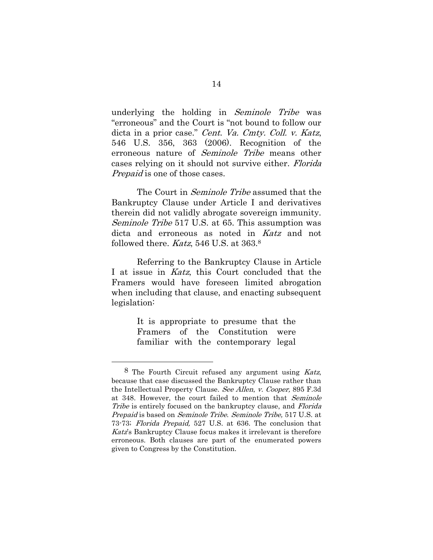underlying the holding in Seminole Tribe was "erroneous" and the Court is "not bound to follow our dicta in a prior case." Cent. Va. Cmty. Coll. v. Katz, 546 U.S. 356, 363 (2006). Recognition of the erroneous nature of Seminole Tribe means other cases relying on it should not survive either. Florida *Prepaid* is one of those cases.

<span id="page-22-0"></span>The Court in *Seminole Tribe* assumed that the Bankruptcy Clause under Article I and derivatives therein did not validly abrogate sovereign immunity. Seminole Tribe 517 U.S. at 65. This assumption was dicta and erroneous as noted in Katz and not followed there. *Katz*, 546 U.S. at 363.8

Referring to the Bankruptcy Clause in Article I at issue in Katz, this Court concluded that the Framers would have foreseen limited abrogation when including that clause, and enacting subsequent legislation:

> It is appropriate to presume that the Framers of the Constitution were familiar with the contemporary legal

<sup>8</sup> The Fourth Circuit refused any argument using Katz, because that case discussed the Bankruptcy Clause rather than the Intellectual Property Clause. See Allen, v. Cooper, 895 F.3d at 348. However, the court failed to mention that Seminole Tribe is entirely focused on the bankruptcy clause, and Florida Prepaid is based on Seminole Tribe. Seminole Tribe, 517 U.S. at 73-73; Florida Prepaid, 527 U.S. at 636. The conclusion that Katz's Bankruptcy Clause focus makes it irrelevant is therefore erroneous. Both clauses are part of the enumerated powers given to Congress by the Constitution.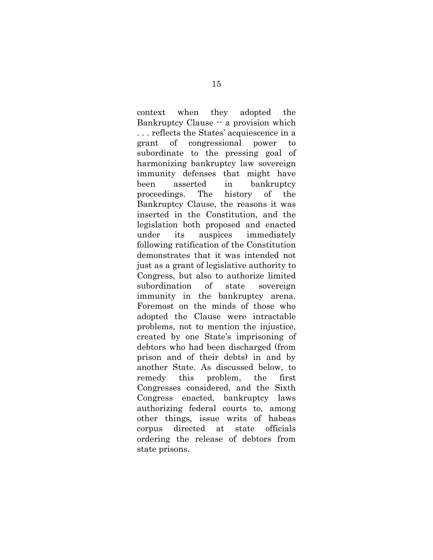context when they adopted the Bankruptcy Clause -- a provision which . . . reflects the States' acquiescence in a grant of congressional power to subordinate to the pressing goal of harmonizing bankruptcy law sovereign immunity defenses that might have been asserted in bankruptcy proceedings. The history of the Bankruptcy Clause, the reasons it was inserted in the Constitution, and the legislation both proposed and enacted under its auspices immediately following ratification of the Constitution demonstrates that it was intended not just as a grant of legislative authority to Congress, but also to authorize limited subordination of state sovereign immunity in the bankruptcy arena. Foremost on the minds of those who adopted the Clause were intractable problems, not to mention the injustice, created by one State's imprisoning of debtors who had been discharged (from prison and of their debts) in and by another State. As discussed below, to remedy this problem, the first Congresses considered, and the Sixth Congress enacted, bankruptcy laws authorizing federal courts to, among other things, issue writs of habeas corpus directed at state officials ordering the release of debtors from state prisons.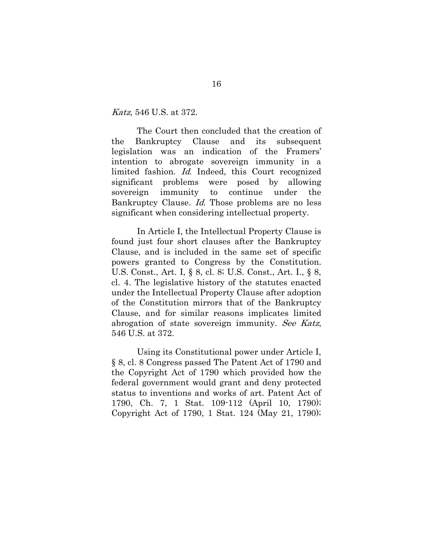#### Katz, 546 U.S. at 372.

The Court then concluded that the creation of the Bankruptcy Clause and its subsequent legislation was an indication of the Framers' intention to abrogate sovereign immunity in a limited fashion. Id. Indeed, this Court recognized significant problems were posed by allowing sovereign immunity to continue under the Bankruptcy Clause. Id. Those problems are no less significant when considering intellectual property.

<span id="page-24-1"></span><span id="page-24-0"></span>In Article I, the Intellectual Property Clause is found just four short clauses after the Bankruptcy Clause, and is included in the same set of specific powers granted to Congress by the Constitution. U.S. Const., Art. I, § 8, cl. 8; U.S. Const., Art. I., § 8, cl. 4. The legislative history of the statutes enacted under the Intellectual Property Clause after adoption of the Constitution mirrors that of the Bankruptcy Clause, and for similar reasons implicates limited abrogation of state sovereign immunity. See Katz, 546 U.S. at 372.

Using its Constitutional power under Article I, § 8, cl. 8 Congress passed The Patent Act of 1790 and the Copyright Act of 1790 which provided how the federal government would grant and deny protected status to inventions and works of art. Patent Act of 1790, Ch. 7, 1 Stat. 109-112 (April 10, 1790); Copyright Act of 1790, 1 Stat. 124 (May 21, 1790);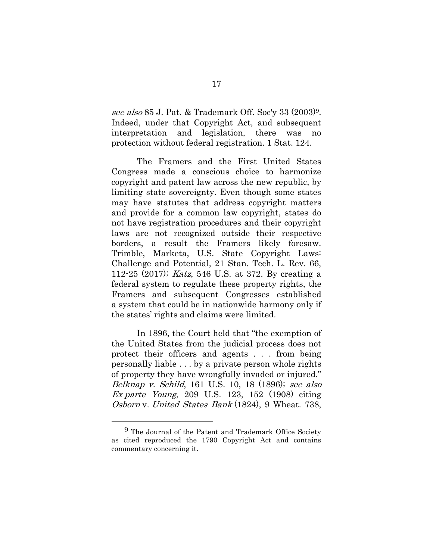see also 85 J. Pat. & Trademark Off. Soc'y 33 (2003)9. Indeed, under that Copyright Act, and subsequent interpretation and legislation, there was no protection without federal registration. 1 Stat. 124.

The Framers and the First United States Congress made a conscious choice to harmonize copyright and patent law across the new republic, by limiting state sovereignty. Even though some states may have statutes that address copyright matters and provide for a common law copyright, states do not have registration procedures and their copyright laws are not recognized outside their respective borders, a result the Framers likely foresaw. Trimble, Marketa, U.S. State Copyright Laws: Challenge and Potential, 21 Stan. Tech. L. Rev. 66, 112-25 (2017); Katz, 546 U.S. at 372. By creating a federal system to regulate these property rights, the Framers and subsequent Congresses established a system that could be in nationwide harmony only if the states' rights and claims were limited.

In 1896, the Court held that "the exemption of the United States from the judicial process does not protect their officers and agents . . . from being personally liable . . . by a private person whole rights of property they have wrongfully invaded or injured." Belknap v. Schild, 161 U.S. 10, 18 (1896); see also Ex parte Young, 209 U.S. 123, 152 (1908) citing Osborn v. United States Bank (1824), 9 Wheat. 738,

<sup>9</sup> The Journal of the Patent and Trademark Office Society as cited reproduced the 1790 Copyright Act and contains commentary concerning it.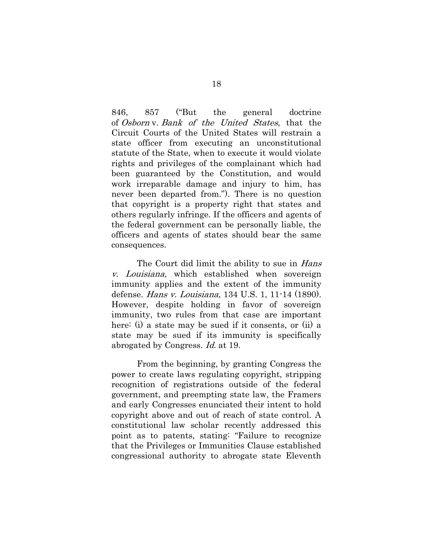846, 857 ("But the general doctrine of Osborn v. Bank of the United States, that the Circuit Courts of the United States will restrain a state officer from executing an unconstitutional statute of the State, when to execute it would violate rights and privileges of the complainant which had been guaranteed by the Constitution, and would work irreparable damage and injury to him, has never been departed from."). There is no question that copyright is a property right that states and others regularly infringe. If the officers and agents of the federal government can be personally liable, the officers and agents of states should bear the same consequences.

The Court did limit the ability to sue in Hans v. Louisiana, which established when sovereign immunity applies and the extent of the immunity defense. Hans v. Louisiana, 134 U.S. 1, 11-14 (1890). However, despite holding in favor of sovereign immunity, two rules from that case are important here: (i) a state may be sued if it consents, or (ii) a state may be sued if its immunity is specifically abrogated by Congress. Id. at 19.

From the beginning, by granting Congress the power to create laws regulating copyright, stripping recognition of registrations outside of the federal government, and preempting state law, the Framers and early Congresses enunciated their intent to hold copyright above and out of reach of state control. A constitutional law scholar recently addressed this point as to patents, stating: "Failure to recognize that the Privileges or Immunities Clause established congressional authority to abrogate state Eleventh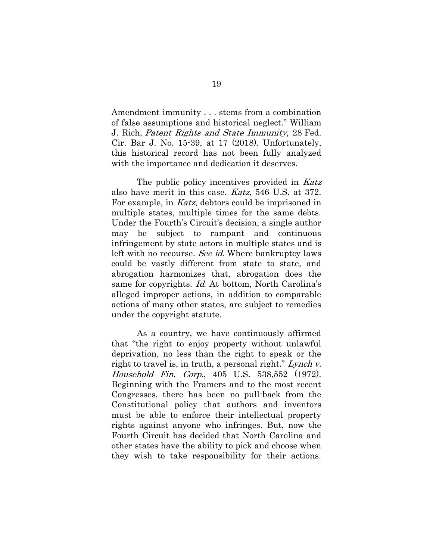Amendment immunity . . . stems from a combination of false assumptions and historical neglect." William J. Rich, Patent Rights and State Immunity, 28 Fed. Cir. Bar J. No. 15-39, at 17 (2018). Unfortunately, this historical record has not been fully analyzed with the importance and dedication it deserves.

The public policy incentives provided in Katz also have merit in this case. Katz, 546 U.S. at 372. For example, in Katz, debtors could be imprisoned in multiple states, multiple times for the same debts. Under the Fourth's Circuit's decision, a single author may be subject to rampant and continuous infringement by state actors in multiple states and is left with no recourse. See id. Where bankruptcy laws could be vastly different from state to state, and abrogation harmonizes that, abrogation does the same for copyrights. Id. At bottom, North Carolina's alleged improper actions, in addition to comparable actions of many other states, are subject to remedies under the copyright statute.

As a country, we have continuously affirmed that "the right to enjoy property without unlawful deprivation, no less than the right to speak or the right to travel is, in truth, a personal right." Lynch v. Household Fin. Corp., 405 U.S. 538,552 (1972). Beginning with the Framers and to the most recent Congresses, there has been no pull-back from the Constitutional policy that authors and inventors must be able to enforce their intellectual property rights against anyone who infringes. But, now the Fourth Circuit has decided that North Carolina and other states have the ability to pick and choose when they wish to take responsibility for their actions.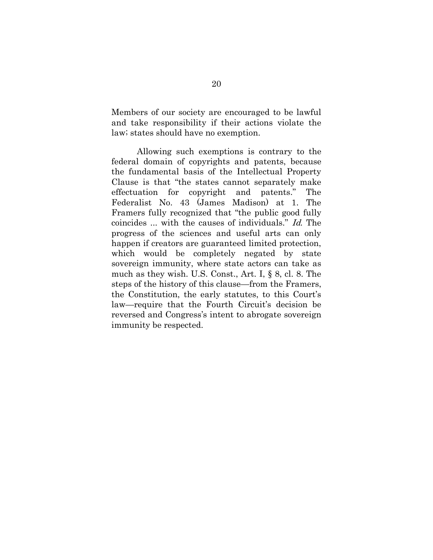Members of our society are encouraged to be lawful and take responsibility if their actions violate the law; states should have no exemption.

<span id="page-28-0"></span>Allowing such exemptions is contrary to the federal domain of copyrights and patents, because the fundamental basis of the Intellectual Property Clause is that "the states cannot separately make effectuation for copyright and patents." The Federalist No. 43 (James Madison) at 1. The Framers fully recognized that "the public good fully coincides ... with the causes of individuals." Id. The progress of the sciences and useful arts can only happen if creators are guaranteed limited protection, which would be completely negated by state sovereign immunity, where state actors can take as much as they wish. U.S. Const., Art. I, § 8, cl. 8. The steps of the history of this clause—from the Framers, the Constitution, the early statutes, to this Court's law—require that the Fourth Circuit's decision be reversed and Congress's intent to abrogate sovereign immunity be respected.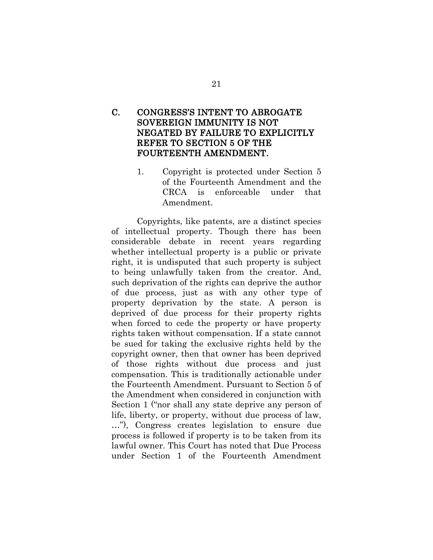### C. CONGRESS'S INTENT TO ABROGATE SOVEREIGN IMMUNITY IS NOT NEGATED BY FAILURE TO EXPLICITLY REFER TO SECTION 5 OF THE FOURTEENTH AMENDMENT.

<span id="page-29-0"></span>1. Copyright is protected under Section 5 of the Fourteenth Amendment and the CRCA is enforceable under that Amendment.

Copyrights, like patents, are a distinct species of intellectual property. Though there has been considerable debate in recent years regarding whether intellectual property is a public or private right, it is undisputed that such property is subject to being unlawfully taken from the creator. And, such deprivation of the rights can deprive the author of due process, just as with any other type of property deprivation by the state. A person is deprived of due process for their property rights when forced to cede the property or have property rights taken without compensation. If a state cannot be sued for taking the exclusive rights held by the copyright owner, then that owner has been deprived of those rights without due process and just compensation. This is traditionally actionable under the Fourteenth Amendment. Pursuant to Section 5 of the Amendment when considered in conjunction with Section 1 ("nor shall any state deprive any person of life, liberty, or property, without due process of law, …"), Congress creates legislation to ensure due process is followed if property is to be taken from its lawful owner. This Court has noted that Due Process under Section 1 of the Fourteenth Amendment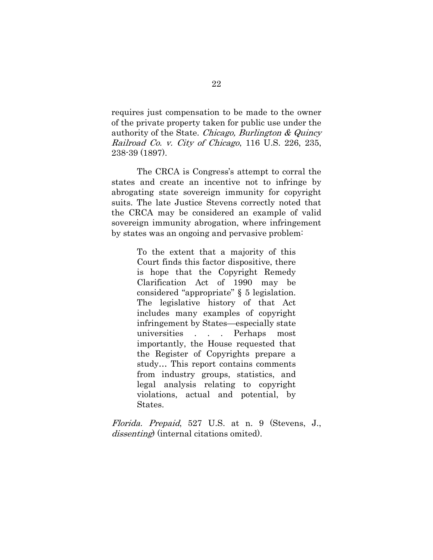requires just compensation to be made to the owner of the private property taken for public use under the authority of the State. Chicago, Burlington & Quincy Railroad Co. v. City of Chicago, 116 U.S. 226, 235, 238-39 (1897).

The CRCA is Congress's attempt to corral the states and create an incentive not to infringe by abrogating state sovereign immunity for copyright suits. The late Justice Stevens correctly noted that the CRCA may be considered an example of valid sovereign immunity abrogation, where infringement by states was an ongoing and pervasive problem:

> To the extent that a majority of this Court finds this factor dispositive, there is hope that the Copyright Remedy Clarification Act of 1990 may be considered "appropriate" § 5 legislation. The legislative history of that Act includes many examples of copyright infringement by States—especially state universities . . . Perhaps most importantly, the House requested that the Register of Copyrights prepare a study… This report contains comments from industry groups, statistics, and legal analysis relating to copyright violations, actual and potential, by States.

Florida. Prepaid, 527 U.S. at n. 9 (Stevens, J., dissenting) (internal citations omited).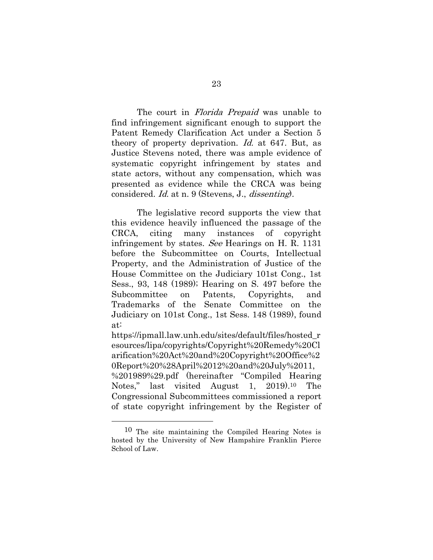The court in *Florida Prepaid* was unable to find infringement significant enough to support the Patent Remedy Clarification Act under a Section 5 theory of property deprivation. Id. at 647. But, as Justice Stevens noted, there was ample evidence of systematic copyright infringement by states and state actors, without any compensation, which was presented as evidence while the CRCA was being considered. Id. at n. 9 (Stevens, J., dissenting).

The legislative record supports the view that this evidence heavily influenced the passage of the CRCA, citing many instances of copyright infringement by states. See Hearings on H. R. 1131 before the Subcommittee on Courts, Intellectual Property, and the Administration of Justice of the House Committee on the Judiciary 101st Cong., 1st Sess., 93, 148 (1989); Hearing on S. 497 before the Subcommittee on Patents, Copyrights, and Trademarks of the Senate Committee on the Judiciary on 101st Cong., 1st Sess. 148 (1989), found at:

[https://ipmall.law.unh.edu/sites/default/files/hosted\\_r](https://ipmall.law.unh.edu/sites/default/files/hosted_resources/lipa/copyrights/Copyright%20Remedy%20Clarification%20Act%20and%20Copyright%20Office%20Report%20%28April%2012%20and%20July%2011,%201989%29.pdf) [esources/lipa/copyrights/Copyright%20Remedy%20Cl](https://ipmall.law.unh.edu/sites/default/files/hosted_resources/lipa/copyrights/Copyright%20Remedy%20Clarification%20Act%20and%20Copyright%20Office%20Report%20%28April%2012%20and%20July%2011,%201989%29.pdf) [arification%20Act%20and%20Copyright%20Office%2](https://ipmall.law.unh.edu/sites/default/files/hosted_resources/lipa/copyrights/Copyright%20Remedy%20Clarification%20Act%20and%20Copyright%20Office%20Report%20%28April%2012%20and%20July%2011,%201989%29.pdf) [0Report%20%28April%2012%20and%20July%2011,](https://ipmall.law.unh.edu/sites/default/files/hosted_resources/lipa/copyrights/Copyright%20Remedy%20Clarification%20Act%20and%20Copyright%20Office%20Report%20%28April%2012%20and%20July%2011,%201989%29.pdf) [%201989%29.pdf](https://ipmall.law.unh.edu/sites/default/files/hosted_resources/lipa/copyrights/Copyright%20Remedy%20Clarification%20Act%20and%20Copyright%20Office%20Report%20%28April%2012%20and%20July%2011,%201989%29.pdf) (hereinafter "Compiled Hearing

Notes," last visited August 1, 2019).<sup>10</sup> The Congressional Subcommittees commissioned a report of state copyright infringement by the Register of

<sup>10</sup> The site maintaining the Compiled Hearing Notes is hosted by the University of New Hampshire Franklin Pierce School of Law.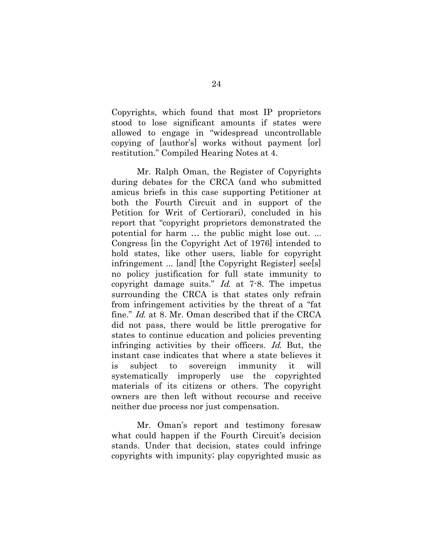Copyrights, which found that most IP proprietors stood to lose significant amounts if states were allowed to engage in "widespread uncontrollable copying of [author's] works without payment [or] restitution." Compiled Hearing Notes at 4.

Mr. Ralph Oman, the Register of Copyrights during debates for the CRCA (and who submitted amicus briefs in this case supporting Petitioner at both the Fourth Circuit and in support of the Petition for Writ of Certiorari), concluded in his report that "copyright proprietors demonstrated the potential for harm … the public might lose out. ... Congress [in the Copyright Act of 1976] intended to hold states, like other users, liable for copyright infringement ... [and] [the Copyright Register] see[s] no policy justification for full state immunity to copyright damage suits." Id. at 7-8. The impetus surrounding the CRCA is that states only refrain from infringement activities by the threat of a "fat fine." Id. at 8. Mr. Oman described that if the CRCA did not pass, there would be little prerogative for states to continue education and policies preventing infringing activities by their officers. Id. But, the instant case indicates that where a state believes it is subject to sovereign immunity it will systematically improperly use the copyrighted materials of its citizens or others. The copyright owners are then left without recourse and receive neither due process nor just compensation.

Mr. Oman's report and testimony foresaw what could happen if the Fourth Circuit's decision stands. Under that decision, states could infringe copyrights with impunity; play copyrighted music as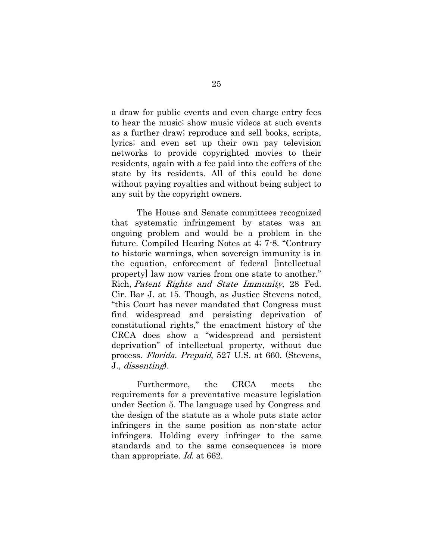a draw for public events and even charge entry fees to hear the music; show music videos at such events as a further draw; reproduce and sell books, scripts, lyrics; and even set up their own pay television networks to provide copyrighted movies to their residents, again with a fee paid into the coffers of the state by its residents. All of this could be done without paying royalties and without being subject to any suit by the copyright owners.

The House and Senate committees recognized that systematic infringement by states was an ongoing problem and would be a problem in the future. Compiled Hearing Notes at 4; 7-8. "Contrary to historic warnings, when sovereign immunity is in the equation, enforcement of federal [intellectual property] law now varies from one state to another." Rich, Patent Rights and State Immunity, 28 Fed. Cir. Bar J. at 15. Though, as Justice Stevens noted, "this Court has never mandated that Congress must find widespread and persisting deprivation of constitutional rights," the enactment history of the CRCA does show a "widespread and persistent deprivation" of intellectual property, without due process. Florida. Prepaid, 527 U.S. at 660. (Stevens, J., dissenting).

Furthermore, the CRCA meets the requirements for a preventative measure legislation under Section 5. The language used by Congress and the design of the statute as a whole puts state actor infringers in the same position as non-state actor infringers. Holding every infringer to the same standards and to the same consequences is more than appropriate. Id. at 662.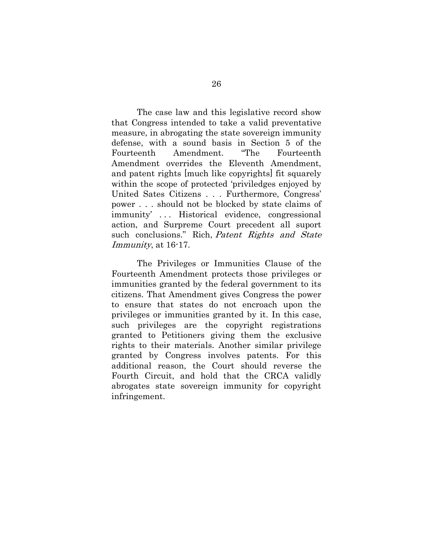The case law and this legislative record show that Congress intended to take a valid preventative measure, in abrogating the state sovereign immunity defense, with a sound basis in Section 5 of the Fourteenth Amendment. "The Fourteenth Amendment overrides the Eleventh Amendment, and patent rights [much like copyrights] fit squarely within the scope of protected 'priviledges enjoyed by United Sates Citizens . . . Furthermore, Congress' power . . . should not be blocked by state claims of immunity' . . . Historical evidence, congressional action, and Surpreme Court precedent all suport such conclusions." Rich, Patent Rights and State Immunity, at 16-17.

<span id="page-34-0"></span>The Privileges or Immunities Clause of the Fourteenth Amendment protects those privileges or immunities granted by the federal government to its citizens. That Amendment gives Congress the power to ensure that states do not encroach upon the privileges or immunities granted by it. In this case, such privileges are the copyright registrations granted to Petitioners giving them the exclusive rights to their materials. Another similar privilege granted by Congress involves patents. For this additional reason, the Court should reverse the Fourth Circuit, and hold that the CRCA validly abrogates state sovereign immunity for copyright infringement.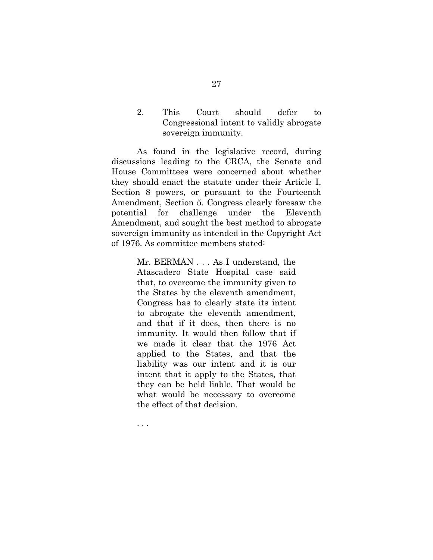2. This Court should defer to Congressional intent to validly abrogate sovereign immunity.

As found in the legislative record, during discussions leading to the CRCA, the Senate and House Committees were concerned about whether they should enact the statute under their Article I, Section 8 powers, or pursuant to the Fourteenth Amendment, Section 5. Congress clearly foresaw the potential for challenge under the Eleventh Amendment, and sought the best method to abrogate sovereign immunity as intended in the Copyright Act of 1976. As committee members stated:

> Mr. BERMAN . . . As I understand, the Atascadero State Hospital case said that, to overcome the immunity given to the States by the eleventh amendment, Congress has to clearly state its intent to abrogate the eleventh amendment, and that if it does, then there is no immunity. It would then follow that if we made it clear that the 1976 Act applied to the States, and that the liability was our intent and it is our intent that it apply to the States, that they can be held liable. That would be what would be necessary to overcome the effect of that decision.

. . .

27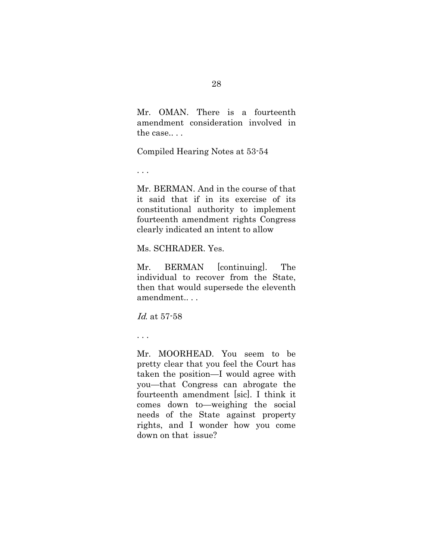Mr. OMAN. There is a fourteenth amendment consideration involved in the case.. . .

Compiled Hearing Notes at 53-54

. . .

Mr. BERMAN. And in the course of that it said that if in its exercise of its constitutional authority to implement fourteenth amendment rights Congress clearly indicated an intent to allow

Ms. SCHRADER. Yes.

Mr. BERMAN [continuing]. The individual to recover from the State, then that would supersede the eleventh amendment.. . .

Id. at 57-58

. . .

Mr. MOORHEAD. You seem to be pretty clear that you feel the Court has taken the position—I would agree with you—that Congress can abrogate the fourteenth amendment [sic]. I think it comes down to—weighing the social needs of the State against property rights, and I wonder how you come down on that issue?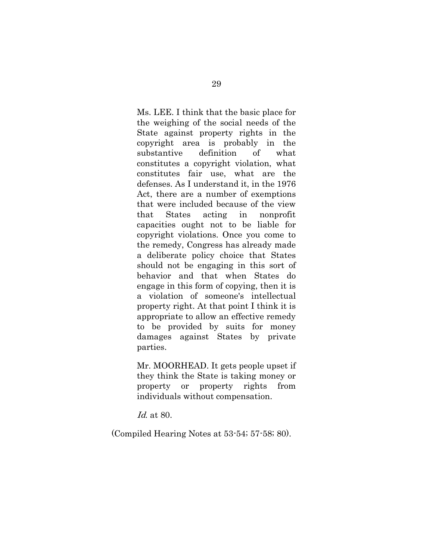Ms. LEE. I think that the basic place for the weighing of the social needs of the State against property rights in the copyright area is probably in the substantive definition of what constitutes a copyright violation, what constitutes fair use, what are the defenses. As I understand it, in the 1976 Act, there are a number of exemptions that were included because of the view that States acting in nonprofit capacities ought not to be liable for copyright violations. Once you come to the remedy, Congress has already made a deliberate policy choice that States should not be engaging in this sort of behavior and that when States do engage in this form of copying, then it is a violation of someone's intellectual property right. At that point I think it is appropriate to allow an effective remedy to be provided by suits for money damages against States by private parties.

Mr. MOORHEAD. It gets people upset if they think the State is taking money or property or property rights from individuals without compensation.

Id. at 80.

(Compiled Hearing Notes at 53-54; 57-58; 80).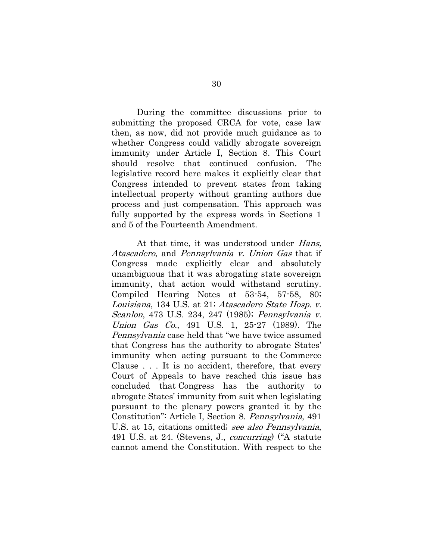During the committee discussions prior to submitting the proposed CRCA for vote, case law then, as now, did not provide much guidance as to whether Congress could validly abrogate sovereign immunity under Article I, Section 8. This Court should resolve that continued confusion. The legislative record here makes it explicitly clear that Congress intended to prevent states from taking intellectual property without granting authors due process and just compensation. This approach was fully supported by the express words in Sections 1 and 5 of the Fourteenth Amendment.

<span id="page-38-1"></span><span id="page-38-0"></span>At that time, it was understood under *Hans*, Atascadero, and Pennsylvania v. Union Gas that if Congress made explicitly clear and absolutely unambiguous that it was abrogating state sovereign immunity, that action would withstand scrutiny. Compiled Hearing Notes at 53-54, 57-58, 80; Louisiana, 134 U.S. at 21; Atascadero State Hosp. v. Scanlon, 473 U.S. 234, 247 (1985); Pennsylvania v. Union Gas Co., 491 U.S. 1, 25-27 (1989). The Pennsylvania case held that "we have twice assumed that Congress has the authority to abrogate States' immunity when acting pursuant to the Commerce Clause . . . It is no accident, therefore, that every Court of Appeals to have reached this issue has concluded that Congress has the authority to abrogate States' immunity from suit when legislating pursuant to the plenary powers granted it by the Constitution": Article I, Section 8. Pennsylvania, 491 U.S. at 15, citations omitted; see also Pennsylvania, 491 U.S. at 24. (Stevens, J., concurring) ("A statute cannot amend the Constitution. With respect to the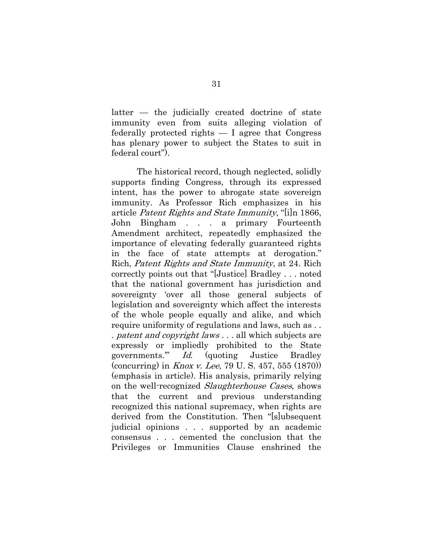latter — the judicially created doctrine of state immunity even from suits alleging violation of federally protected rights — I agree that Congress has plenary power to subject the States to suit in federal court").

The historical record, though neglected, solidly supports finding Congress, through its expressed intent, has the power to abrogate state sovereign immunity. As Professor Rich emphasizes in his article Patent Rights and State Immunity, "[i]n 1866, John Bingham . . . a primary Fourteenth Amendment architect, repeatedly emphasized the importance of elevating federally guaranteed rights in the face of state attempts at derogation." Rich, Patent Rights and State Immunity, at 24. Rich correctly points out that "[Justice] Bradley . . . noted that the national government has jurisdiction and sovereignty 'over all those general subjects of legislation and sovereignty which affect the interests of the whole people equally and alike, and which require uniformity of regulations and laws, such as . . . patent and copyright laws . . . all which subjects are expressly or impliedly prohibited to the State governments.'" Id. (quoting Justice Bradley (concurring) in Knox v. Lee, 79 U. S. 457, 555 (1870)) (emphasis in article). His analysis, primarily relying on the well-recognized *Slaughterhouse Cases*, shows that the current and previous understanding recognized this national supremacy, when rights are derived from the Constitution. Then "[s]ubsequent judicial opinions . . . supported by an academic consensus . . . cemented the conclusion that the Privileges or Immunities Clause enshrined the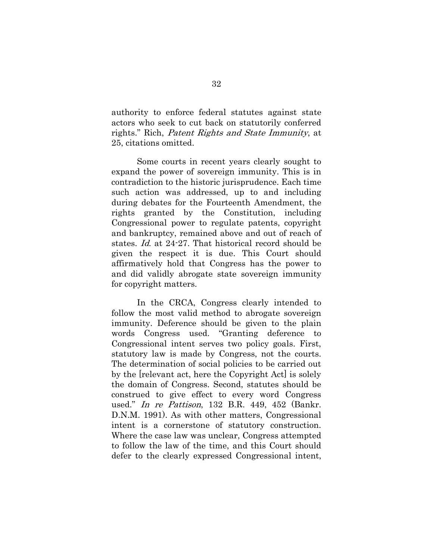authority to enforce federal statutes against state actors who seek to cut back on statutorily conferred rights." Rich, Patent Rights and State Immunity, at 25, citations omitted.

Some courts in recent years clearly sought to expand the power of sovereign immunity. This is in contradiction to the historic jurisprudence. Each time such action was addressed, up to and including during debates for the Fourteenth Amendment, the rights granted by the Constitution, including Congressional power to regulate patents, copyright and bankruptcy, remained above and out of reach of states. Id. at 24-27. That historical record should be given the respect it is due. This Court should affirmatively hold that Congress has the power to and did validly abrogate state sovereign immunity for copyright matters.

In the CRCA, Congress clearly intended to follow the most valid method to abrogate sovereign immunity. Deference should be given to the plain words Congress used. "Granting deference to Congressional intent serves two policy goals. First, statutory law is made by Congress, not the courts. The determination of social policies to be carried out by the [relevant act, here the Copyright Act] is solely the domain of Congress. Second, statutes should be construed to give effect to every word Congress used." In re Pattison, 132 B.R. 449, 452 (Bankr. D.N.M. 1991). As with other matters, Congressional intent is a cornerstone of statutory construction. Where the case law was unclear, Congress attempted to follow the law of the time, and this Court should defer to the clearly expressed Congressional intent,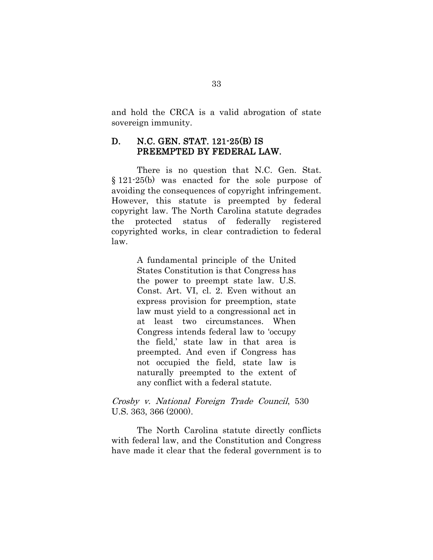and hold the CRCA is a valid abrogation of state sovereign immunity.

## D. N.C. GEN. STAT. 121-25(B) IS PREEMPTED BY FEDERAL LAW.

<span id="page-41-0"></span>There is no question that N.C. Gen. Stat. § 121-25(b) was enacted for the sole purpose of avoiding the consequences of copyright infringement. However, this statute is preempted by federal copyright law. The North Carolina statute degrades the protected status of federally registered copyrighted works, in clear contradiction to federal law.

> <span id="page-41-1"></span>A fundamental principle of the United States Constitution is that Congress has the power to preempt state law. U.S. Const. Art. VI, cl. 2. Even without an express provision for preemption, state law must yield to a congressional act in at least two circumstances. When Congress intends federal law to 'occupy the field,' state law in that area is preempted. And even if Congress has not occupied the field, state law is naturally preempted to the extent of any conflict with a federal statute.

### Crosby v. National Foreign Trade Council, 530 U.S. 363, 366 (2000).

The North Carolina statute directly conflicts with federal law, and the Constitution and Congress have made it clear that the federal government is to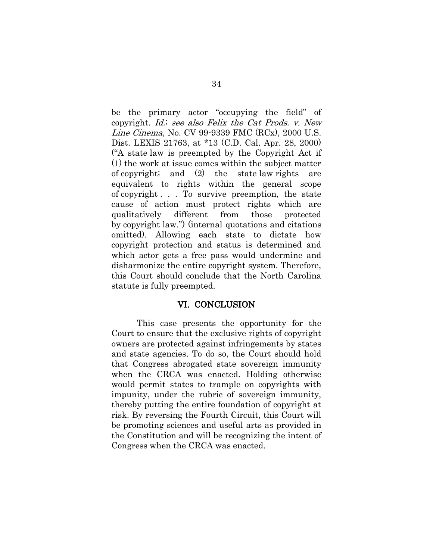be the primary actor "occupying the field" of copyright. Id.; see also Felix the Cat Prods. v. New Line Cinema, No. CV 99-9339 FMC (RCx), 2000 U.S. Dist. LEXIS 21763, at \*13 (C.D. Cal. Apr. 28, 2000) ("A state law is preempted by the Copyright Act if (1) the work at issue comes within the subject matter of copyright; and (2) the state law rights are equivalent to rights within the general scope of copyright . . . To survive preemption, the state cause of action must protect rights which are qualitatively different from those protected by copyright law.") (internal quotations and citations omitted). Allowing each state to dictate how copyright protection and status is determined and which actor gets a free pass would undermine and disharmonize the entire copyright system. Therefore, this Court should conclude that the North Carolina statute is fully preempted.

#### VI. CONCLUSION

This case presents the opportunity for the Court to ensure that the exclusive rights of copyright owners are protected against infringements by states and state agencies. To do so, the Court should hold that Congress abrogated state sovereign immunity when the CRCA was enacted. Holding otherwise would permit states to trample on copyrights with impunity, under the rubric of sovereign immunity, thereby putting the entire foundation of copyright at risk. By reversing the Fourth Circuit, this Court will be promoting sciences and useful arts as provided in the Constitution and will be recognizing the intent of Congress when the CRCA was enacted.